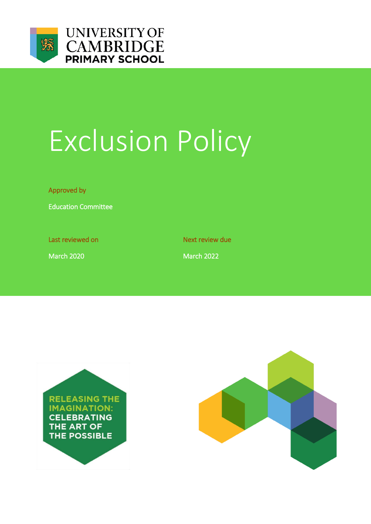

# Exclusion Policy

Approved by

Education Committee

Last reviewed on Next review due

March 2020 March 2022



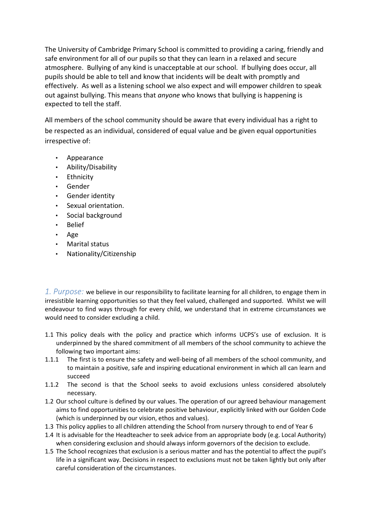The University of Cambridge Primary School is committed to providing a caring, friendly and safe environment for all of our pupils so that they can learn in a relaxed and secure atmosphere. Bullying of any kind is unacceptable at our school. If bullying does occur, all pupils should be able to tell and know that incidents will be dealt with promptly and effectively. As well as a listening school we also expect and will empower children to speak out against bullying. This means that *anyone* who knows that bullying is happening is expected to tell the staff.

All members of the school community should be aware that every individual has a right to be respected as an individual, considered of equal value and be given equal opportunities irrespective of:

- Appearance
- Ability/Disability
- Ethnicity
- Gender
- Gender identity
- Sexual orientation.
- Social background
- Belief
- Age
- Marital status
- Nationality/Citizenship

*1. Purpose:* we believe in our responsibility to facilitate learning for all children, to engage them in irresistible learning opportunities so that they feel valued, challenged and supported. Whilst we will endeavour to find ways through for every child, we understand that in extreme circumstances we would need to consider excluding a child.

- 1.1 This policy deals with the policy and practice which informs UCPS's use of exclusion. It is underpinned by the shared commitment of all members of the school community to achieve the following two important aims:
- 1.1.1 The first is to ensure the safety and well-being of all members of the school community, and to maintain a positive, safe and inspiring educational environment in which all can learn and succeed
- 1.1.2 The second is that the School seeks to avoid exclusions unless considered absolutely necessary.
- 1.2 Our school culture is defined by our values. The operation of our agreed behaviour management aims to find opportunities to celebrate positive behaviour, explicitly linked with our Golden Code (which is underpinned by our vision, ethos and values).
- 1.3 This policy applies to all children attending the School from nursery through to end of Year 6
- 1.4 It is advisable for the Headteacher to seek advice from an appropriate body (e.g. Local Authority) when considering exclusion and should always inform governors of the decision to exclude.
- 1.5 The School recognizes that exclusion is a serious matter and has the potential to affect the pupil's life in a significant way. Decisions in respect to exclusions must not be taken lightly but only after careful consideration of the circumstances.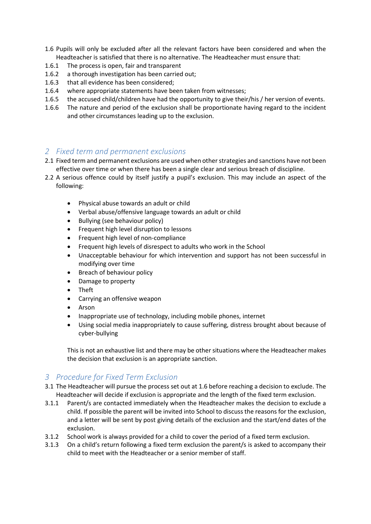- 1.6 Pupils will only be excluded after all the relevant factors have been considered and when the Headteacher is satisfied that there is no alternative. The Headteacher must ensure that:
- 1.6.1 The process is open, fair and transparent
- 1.6.2 a thorough investigation has been carried out;
- 1.6.3 that all evidence has been considered;
- 1.6.4 where appropriate statements have been taken from witnesses;
- 1.6.5 the accused child/children have had the opportunity to give their/his / her version of events.
- 1.6.6 The nature and period of the exclusion shall be proportionate having regard to the incident and other circumstances leading up to the exclusion.

### *2 Fixed term and permanent exclusions*

- 2.1 Fixed term and permanent exclusions are used when other strategies and sanctions have not been effective over time or when there has been a single clear and serious breach of discipline.
- 2.2 A serious offence could by itself justify a pupil's exclusion. This may include an aspect of the following:
	- Physical abuse towards an adult or child
	- Verbal abuse/offensive language towards an adult or child
	- Bullying (see behaviour policy)
	- **•** Frequent high level disruption to lessons
	- Frequent high level of non-compliance
	- Frequent high levels of disrespect to adults who work in the School
	- Unacceptable behaviour for which intervention and support has not been successful in modifying over time
	- Breach of behaviour policy
	- Damage to property
	- Theft
	- Carrying an offensive weapon
	- Arson
	- Inappropriate use of technology, including mobile phones, internet
	- Using social media inappropriately to cause suffering, distress brought about because of cyber-bullying

This is not an exhaustive list and there may be other situations where the Headteacher makes the decision that exclusion is an appropriate sanction.

## *3 Procedure for Fixed Term Exclusion*

- 3.1 The Headteacher will pursue the process set out at 1.6 before reaching a decision to exclude. The Headteacher will decide if exclusion is appropriate and the length of the fixed term exclusion.
- 3.1.1 Parent/s are contacted immediately when the Headteacher makes the decision to exclude a child. If possible the parent will be invited into School to discuss the reasons for the exclusion, and a letter will be sent by post giving details of the exclusion and the start/end dates of the exclusion.
- 3.1.2 School work is always provided for a child to cover the period of a fixed term exclusion.
- 3.1.3 On a child's return following a fixed term exclusion the parent/s is asked to accompany their child to meet with the Headteacher or a senior member of staff.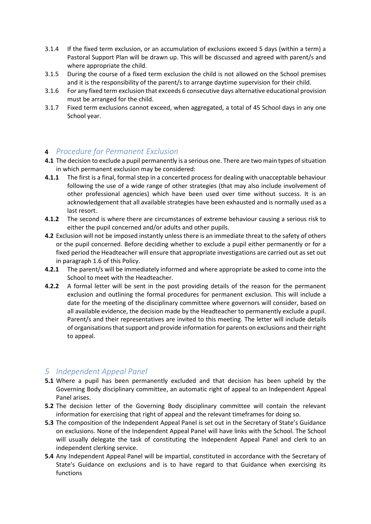- 3.1.4 If the fixed term exclusion, or an accumulation of exclusions exceed 5 days (within a term) a Pastoral Support Plan will be drawn up. This will be discussed and agreed with parent/s and where appropriate the child.
- 3.1.5 During the course of a fixed term exclusion the child is not allowed on the School premises and it is the responsibility of the parent/s to arrange daytime supervision for their child.
- 3.1.6 For any fixed term exclusion that exceeds 6 consecutive days alternative educational provision must be arranged for the child.
- 3.1.7 Fixed term exclusions cannot exceed, when aggregated, a total of 45 School days in any one School year.

### **4** *Procedure for Permanent Exclusion*

- **4.1** The decision to exclude a pupil permanently is a serious one. There are two main types of situation in which permanent exclusion may be considered:
- **4.1.1** The first is a final, formal step in a concerted process for dealing with unacceptable behaviour following the use of a wide range of other strategies (that may also include involvement of other professional agencies) which have been used over time without success. It is an acknowledgement that all available strategies have been exhausted and is normally used as a last resort.
- **4.1.2** The second is where there are circumstances of extreme behaviour causing a serious risk to either the pupil concerned and/or adults and other pupils.
- **4.2** Exclusion will not be imposed instantly unless there is an immediate threat to the safety of others or the pupil concerned. Before deciding whether to exclude a pupil either permanently or for a fixed period the Headteacher will ensure that appropriate investigations are carried out as set out in paragraph 1.6 of this Policy.
- **4.2.1** The parent/s will be immediately informed and where appropriate be asked to come into the School to meet with the Headteacher.
- **4.2.2** A formal letter will be sent in the post providing details of the reason for the permanent exclusion and outlining the formal procedures for permanent exclusion. This will include a date for the meeting of the disciplinary committee where governors will consider, based on all available evidence, the decision made by the Headteacher to permanently exclude a pupil. Parent/s and their representatives are invited to this meeting. The letter will include details of organisations that support and provide information for parents on exclusions and their right to appeal.

## *5 Independent Appeal Panel*

- **5.1** Where a pupil has been permanently excluded and that decision has been upheld by the Governing Body disciplinary committee, an automatic right of appeal to an Independent Appeal Panel arises.
- **5.2** The decision letter of the Governing Body disciplinary committee will contain the relevant information for exercising that right of appeal and the relevant timeframes for doing so.
- **5.3** The composition of the Independent Appeal Panel is set out in the Secretary of State's Guidance on exclusions. None of the Independent Appeal Panel will have links with the School. The School will usually delegate the task of constituting the Independent Appeal Panel and clerk to an independent clerking service.
- **5.4** Any Independent Appeal Panel will be impartial, constituted in accordance with the Secretary of State's Guidance on exclusions and is to have regard to that Guidance when exercising its functions